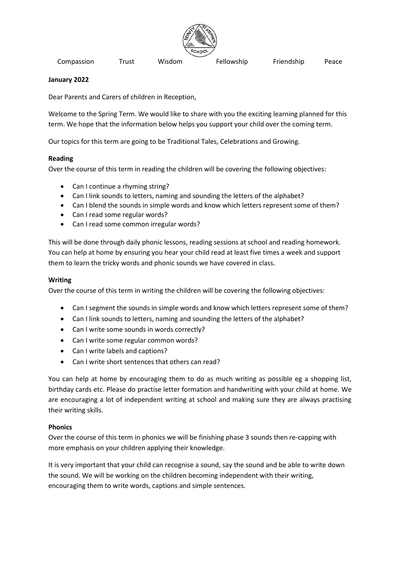

Compassion Trust Wisdom Fellowship Friendship Peace

## **January 2022**

Dear Parents and Carers of children in Reception,

Welcome to the Spring Term. We would like to share with you the exciting learning planned for this term. We hope that the information below helps you support your child over the coming term.

Our topics for this term are going to be Traditional Tales, Celebrations and Growing.

## **Reading**

Over the course of this term in reading the children will be covering the following objectives:

- Can I continue a rhyming string?
- Can I link sounds to letters, naming and sounding the letters of the alphabet?
- Can I blend the sounds in simple words and know which letters represent some of them?
- Can I read some regular words?
- Can I read some common irregular words?

This will be done through daily phonic lessons, reading sessions at school and reading homework. You can help at home by ensuring you hear your child read at least five times a week and support them to learn the tricky words and phonic sounds we have covered in class.

## **Writing**

Over the course of this term in writing the children will be covering the following objectives:

- Can I segment the sounds in simple words and know which letters represent some of them?
- Can I link sounds to letters, naming and sounding the letters of the alphabet?
- Can I write some sounds in words correctly?
- Can I write some regular common words?
- Can I write labels and captions?
- Can I write short sentences that others can read?

You can help at home by encouraging them to do as much writing as possible eg a shopping list, birthday cards etc. Please do practise letter formation and handwriting with your child at home. We are encouraging a lot of independent writing at school and making sure they are always practising their writing skills.

# **Phonics**

Over the course of this term in phonics we will be finishing phase 3 sounds then re-capping with more emphasis on your children applying their knowledge.

It is very important that your child can recognise a sound, say the sound and be able to write down the sound. We will be working on the children becoming independent with their writing, encouraging them to write words, captions and simple sentences.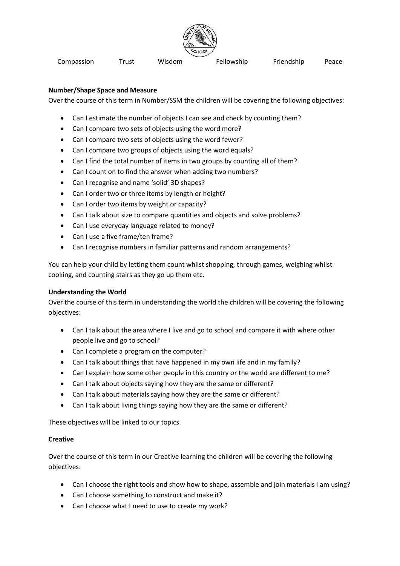

Compassion Trust Wisdom Fellowship Friendship Peace

## **Number/Shape Space and Measure**

Over the course of this term in Number/SSM the children will be covering the following objectives:

- Can I estimate the number of objects I can see and check by counting them?
- Can I compare two sets of objects using the word more?
- Can I compare two sets of objects using the word fewer?
- Can I compare two groups of objects using the word equals?
- Can I find the total number of items in two groups by counting all of them?
- Can I count on to find the answer when adding two numbers?
- Can I recognise and name 'solid' 3D shapes?
- Can I order two or three items by length or height?
- Can I order two items by weight or capacity?
- Can I talk about size to compare quantities and objects and solve problems?
- Can I use everyday language related to money?
- Can I use a five frame/ten frame?
- Can I recognise numbers in familiar patterns and random arrangements?

You can help your child by letting them count whilst shopping, through games, weighing whilst cooking, and counting stairs as they go up them etc.

# **Understanding the World**

Over the course of this term in understanding the world the children will be covering the following objectives:

- Can I talk about the area where I live and go to school and compare it with where other people live and go to school?
- Can I complete a program on the computer?
- Can I talk about things that have happened in my own life and in my family?
- Can I explain how some other people in this country or the world are different to me?
- Can I talk about objects saying how they are the same or different?
- Can I talk about materials saying how they are the same or different?
- Can I talk about living things saying how they are the same or different?

These objectives will be linked to our topics.

#### **Creative**

Over the course of this term in our Creative learning the children will be covering the following objectives:

- Can I choose the right tools and show how to shape, assemble and join materials I am using?
- Can I choose something to construct and make it?
- Can I choose what I need to use to create my work?